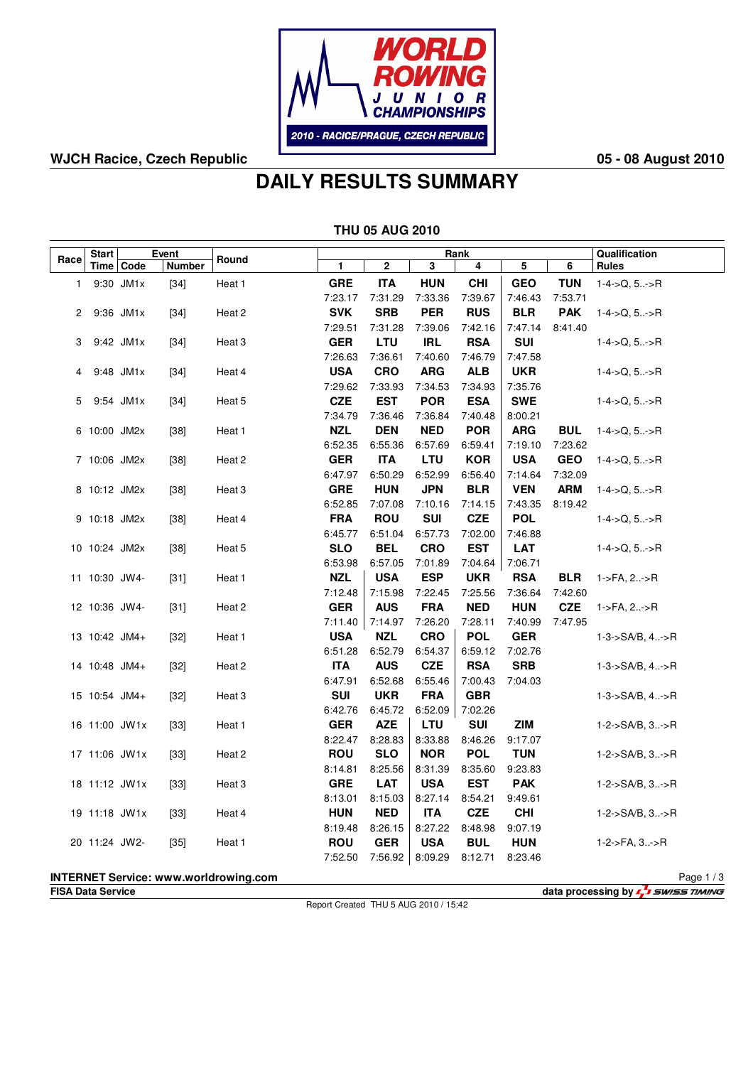

## **WJCH Racice, Czech Republic 05 - 08 August 2010**

# **DAILY RESULTS SUMMARY**

| <b>THU 05 AUG 2010</b>                                                |               |               |        |                   |                       |                       |                       |                       |                       |            |                             |
|-----------------------------------------------------------------------|---------------|---------------|--------|-------------------|-----------------------|-----------------------|-----------------------|-----------------------|-----------------------|------------|-----------------------------|
|                                                                       | <b>Start</b>  | Rank<br>Event |        |                   |                       |                       |                       |                       | Qualification         |            |                             |
| Race                                                                  |               | Time   Code   | Number | Round             | $\mathbf{1}$          | 2                     | 3                     | 4                     | 5                     | 6          | <b>Rules</b>                |
| 1                                                                     |               | 9:30 JM1x     | $[34]$ | Heat 1            | <b>GRE</b>            | <b>ITA</b>            | <b>HUN</b>            | <b>CHI</b>            | <b>GEO</b>            | <b>TUN</b> | $1-4$ ->Q, $5.-$ >R         |
|                                                                       |               |               |        |                   | 7:23.17               | 7:31.29               | 7:33.36               | 7:39.67               | 7:46.43               | 7:53.71    |                             |
| 2                                                                     |               | 9:36 JM1x     | $[34]$ | Heat 2            | <b>SVK</b>            | <b>SRB</b>            | <b>PER</b>            | <b>RUS</b>            | <b>BLR</b>            | <b>PAK</b> | $1 - 4 - > Q, 5 - > R$      |
|                                                                       |               |               |        |                   | 7:29.51               | 7:31.28               | 7:39.06               | 7:42.16               | 7:47.14               | 8:41.40    |                             |
| 3                                                                     |               | 9:42 JM1x     | $[34]$ | Heat 3            | <b>GER</b>            | <b>LTU</b>            | <b>IRL</b>            | <b>RSA</b>            | <b>SUI</b>            |            | $1-4$ ->Q, $5$ ->R          |
|                                                                       |               |               |        |                   | 7:26.63               | 7:36.61               | 7:40.60               | 7:46.79               | 7:47.58               |            |                             |
| 4                                                                     |               | 9:48 JM1x     | $[34]$ | Heat 4            | <b>USA</b>            | <b>CRO</b>            | <b>ARG</b>            | <b>ALB</b>            | <b>UKR</b>            |            | $1 - 4 > Q, 5 - P$          |
|                                                                       |               |               |        |                   | 7:29.62               | 7:33.93               | 7:34.53               | 7:34.93               | 7:35.76               |            |                             |
| 5                                                                     |               | 9:54 JM1x     | $[34]$ | Heat 5            | <b>CZE</b>            | <b>EST</b>            | <b>POR</b>            | <b>ESA</b>            | <b>SWE</b>            |            | $1 - 4 - > Q, 5 - > R$      |
|                                                                       |               |               |        |                   | 7:34.79               | 7:36.46               | 7:36.84               | 7:40.48               | 8:00.21               |            |                             |
|                                                                       | 6 10:00 JM2x  |               | $[38]$ | Heat 1            | <b>NZL</b>            | <b>DEN</b>            | <b>NED</b>            | <b>POR</b>            | <b>ARG</b>            | <b>BUL</b> | $1-4$ ->Q, 5->R             |
|                                                                       |               |               |        |                   | 6:52.35               | 6:55.36               | 6:57.69               | 6:59.41               | 7:19.10               | 7:23.62    |                             |
|                                                                       | 7 10:06 JM2x  |               | $[38]$ | Heat <sub>2</sub> | <b>GER</b>            | <b>ITA</b>            | LTU                   | <b>KOR</b>            | <b>USA</b>            | <b>GEO</b> | $1 - 4 - > Q, 5 - > R$      |
|                                                                       |               |               |        |                   | 6:47.97               | 6:50.29               | 6:52.99               | 6:56.40               | 7:14.64               | 7:32.09    |                             |
|                                                                       | 8 10:12 JM2x  |               | $[38]$ | Heat 3            | <b>GRE</b><br>6:52.85 | <b>HUN</b>            | <b>JPN</b>            | <b>BLR</b>            | <b>VEN</b>            | <b>ARM</b> | $1-4->Q, 5>R$               |
|                                                                       |               |               |        | Heat 4            | <b>FRA</b>            | 7:07.08<br><b>ROU</b> | 7:10.16<br><b>SUI</b> | 7:14.15<br><b>CZE</b> | 7:43.35<br><b>POL</b> | 8:19.42    | $1 - 4 - > Q, 5 - > R$      |
|                                                                       | 9 10:18 JM2x  |               | $[38]$ |                   | 6:45.77               | 6:51.04               | 6:57.73               | 7:02.00               | 7:46.88               |            |                             |
|                                                                       | 10 10:24 JM2x |               | $[38]$ | Heat 5            | <b>SLO</b>            | <b>BEL</b>            | <b>CRO</b>            | EST                   | LAT                   |            | $1 - 4 > Q, 5 - P$          |
|                                                                       |               |               |        |                   | 6:53.98               | 6:57.05               | 7:01.89               | 7:04.64               | 7:06.71               |            |                             |
|                                                                       | 11 10:30 JW4- |               | $[31]$ | Heat 1            | <b>NZL</b>            | <b>USA</b>            | <b>ESP</b>            | <b>UKR</b>            | <b>RSA</b>            | <b>BLR</b> | 1->FA, 2->R                 |
|                                                                       |               |               |        |                   | 7:12.48               | 7:15.98               | 7:22.45               | 7:25.56               | 7:36.64               | 7:42.60    |                             |
|                                                                       | 12 10:36 JW4- |               | $[31]$ | Heat 2            | <b>GER</b>            | <b>AUS</b>            | <b>FRA</b>            | <b>NED</b>            | <b>HUN</b>            | <b>CZE</b> | 1->FA, 2->R                 |
|                                                                       |               |               |        |                   | 7:11.40               | 7:14.97               | 7:26.20               | 7:28.11               | 7:40.99               | 7:47.95    |                             |
|                                                                       | 13 10:42 JM4+ |               | $[32]$ | Heat 1            | <b>USA</b>            | <b>NZL</b>            | <b>CRO</b>            | <b>POL</b>            | <b>GER</b>            |            | $1 - 3 - S A/B$ , 4>R       |
|                                                                       |               |               |        |                   | 6:51.28               | 6:52.79               | 6:54.37               | 6:59.12               | 7:02.76               |            |                             |
|                                                                       | 14 10:48 JM4+ |               | $[32]$ | Heat 2            | <b>ITA</b>            | <b>AUS</b>            | <b>CZE</b>            | <b>RSA</b>            | <b>SRB</b>            |            | $1 - 3 - S A/B$ , $4 - S R$ |
|                                                                       |               |               |        |                   | 6:47.91               | 6:52.68               | 6:55.46               | 7:00.43               | 7:04.03               |            |                             |
|                                                                       | 15 10:54 JM4+ |               | $[32]$ | Heat 3            | <b>SUI</b>            | <b>UKR</b>            | <b>FRA</b>            | <b>GBR</b>            |                       |            | $1 - 3 - S A/B$ , $4 - S R$ |
|                                                                       |               |               |        |                   | 6:42.76               | 6:45.72               | 6:52.09               | 7:02.26               |                       |            |                             |
|                                                                       | 16 11:00 JW1x |               | $[33]$ | Heat 1            | <b>GER</b>            | <b>AZE</b>            | <b>LTU</b>            | <b>SUI</b>            | ZIM                   |            | $1 - 2 - S A/B$ , $3 - S R$ |
|                                                                       |               |               |        |                   | 8:22.47               | 8:28.83               | 8:33.88               | 8:46.26               | 9:17.07               |            |                             |
|                                                                       | 17 11:06 JW1x |               | $[33]$ | Heat 2            | <b>ROU</b>            | <b>SLO</b>            | <b>NOR</b>            | <b>POL</b>            | <b>TUN</b>            |            | $1 - 2 - S A/B$ , $3 - S R$ |
|                                                                       |               |               |        |                   | 8:14.81               | 8:25.56               | 8:31.39               | 8:35.60               | 9:23.83               |            |                             |
|                                                                       | 18 11:12 JW1x |               | $[33]$ | Heat <sub>3</sub> | <b>GRE</b>            | <b>LAT</b>            | <b>USA</b>            | <b>EST</b>            | <b>PAK</b>            |            | 1-2->SA/B, 3->R             |
|                                                                       |               |               |        |                   | 8:13.01               | 8:15.03               | 8:27.14               | 8:54.21               | 9:49.61               |            |                             |
|                                                                       | 19 11:18 JW1x |               | $[33]$ | Heat 4            | <b>HUN</b>            | <b>NED</b>            | <b>ITA</b>            | <b>CZE</b>            | <b>CHI</b>            |            | $1 - 2 - S A/B$ , $3 - S R$ |
|                                                                       |               |               |        |                   | 8:19.48               | 8:26.15               | 8:27.22               | 8:48.98               | 9:07.19               |            |                             |
|                                                                       | 20 11:24 JW2- |               | $[35]$ | Heat 1            | <b>ROU</b>            | <b>GER</b>            | <b>USA</b>            | <b>BUL</b>            | <b>HUN</b>            |            | $1-2$ ->FA, $3$ ->R         |
|                                                                       |               |               |        |                   | 7:52.50               | 7:56.92               | 8:09.29               | 8:12.71               | 8:23.46               |            |                             |
| <b>INTERNET Service: www.worldrowing.com</b><br>Page $1/3$            |               |               |        |                   |                       |                       |                       |                       |                       |            |                             |
| data processing by <b>4.</b> SWISS TIMING<br><b>FISA Data Service</b> |               |               |        |                   |                       |                       |                       |                       |                       |            |                             |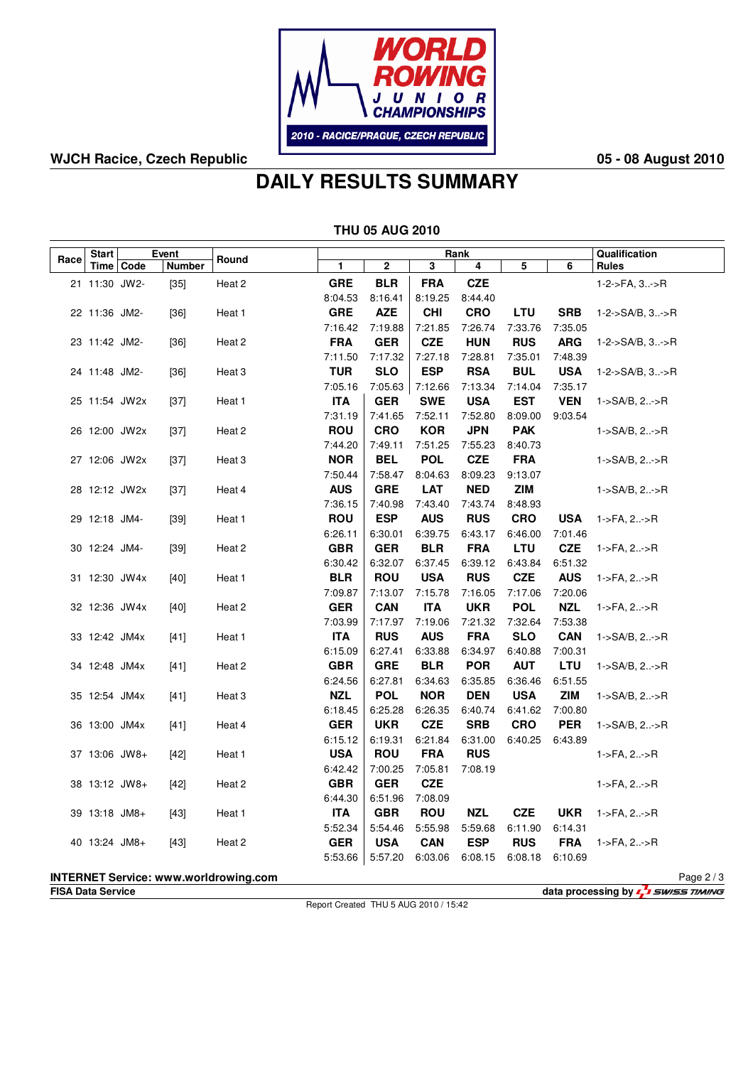

## **WJCH Racice, Czech Republic 05 - 08 August 2010**

## **DAILY RESULTS SUMMARY**

|                                                            | <b>THU 05 AUG 2010</b>                                                 |             |        |                   |            |            |            |            |            |            |                                                       |  |
|------------------------------------------------------------|------------------------------------------------------------------------|-------------|--------|-------------------|------------|------------|------------|------------|------------|------------|-------------------------------------------------------|--|
| Event<br><b>Start</b><br>Round<br>Race                     |                                                                        |             |        |                   |            | Rank       |            |            |            |            |                                                       |  |
|                                                            |                                                                        | Time   Code | Number |                   | 1          | 2          | 3          | 4          | 5          | 6          | <b>Rules</b>                                          |  |
|                                                            | 21 11:30 JW2-                                                          |             | $[35]$ | Heat 2            | <b>GRE</b> | <b>BLR</b> | <b>FRA</b> | <b>CZE</b> |            |            | 1-2->FA, 3->R                                         |  |
|                                                            |                                                                        |             |        |                   | 8:04.53    | 8:16.41    | 8:19.25    | 8:44.40    |            |            |                                                       |  |
|                                                            | 22 11:36 JM2-                                                          |             | $[36]$ | Heat 1            | <b>GRE</b> | <b>AZE</b> | <b>CHI</b> | <b>CRO</b> | <b>LTU</b> | <b>SRB</b> | $1 - 2 - S A/B$ , $3 - S R$                           |  |
|                                                            |                                                                        |             |        |                   | 7:16.42    | 7:19.88    | 7:21.85    | 7:26.74    | 7:33.76    | 7:35.05    |                                                       |  |
|                                                            | 23 11:42 JM2-                                                          |             | $[36]$ | Heat 2            | <b>FRA</b> | <b>GER</b> | <b>CZE</b> | <b>HUN</b> | <b>RUS</b> | <b>ARG</b> | $1 - 2 - S A/B$ , $3 - S R$                           |  |
|                                                            |                                                                        |             |        |                   | 7:11.50    | 7:17.32    | 7:27.18    | 7:28.81    | 7:35.01    | 7:48.39    |                                                       |  |
|                                                            | 24 11:48 JM2-                                                          |             | $[36]$ | Heat <sub>3</sub> | <b>TUR</b> | <b>SLO</b> | <b>ESP</b> | <b>RSA</b> | <b>BUL</b> | <b>USA</b> | $1 - 2 - S A/B$ , $3 - S R$                           |  |
|                                                            |                                                                        |             |        |                   | 7:05.16    | 7:05.63    | 7:12.66    | 7:13.34    | 7:14.04    | 7:35.17    |                                                       |  |
|                                                            | 25 11:54 JW2x                                                          |             | $[37]$ | Heat 1            | <b>ITA</b> | <b>GER</b> | <b>SWE</b> | <b>USA</b> | <b>EST</b> | <b>VEN</b> | 1->SA/B, 2->R                                         |  |
|                                                            |                                                                        |             |        |                   | 7:31.19    | 7:41.65    | 7:52.11    | 7:52.80    | 8:09.00    | 9:03.54    |                                                       |  |
|                                                            | 26 12:00 JW2x                                                          |             | $[37]$ | Heat 2            | <b>ROU</b> | <b>CRO</b> | <b>KOR</b> | <b>JPN</b> | <b>PAK</b> |            | 1->SA/B, 2->R                                         |  |
|                                                            |                                                                        |             |        |                   | 7:44.20    | 7:49.11    | 7:51.25    | 7:55.23    | 8:40.73    |            |                                                       |  |
|                                                            | 27 12:06 JW2x                                                          |             | $[37]$ | Heat <sub>3</sub> | <b>NOR</b> | <b>BEL</b> | <b>POL</b> | <b>CZE</b> | <b>FRA</b> |            | $1 - S A/B$ , $2 - S R$                               |  |
|                                                            |                                                                        |             |        |                   | 7:50.44    | 7:58.47    | 8:04.63    | 8:09.23    | 9:13.07    |            |                                                       |  |
|                                                            | 28 12:12 JW2x                                                          |             | $[37]$ | Heat 4            | <b>AUS</b> | <b>GRE</b> | <b>LAT</b> | <b>NED</b> | ZIM        |            | $1 - S A/B$ , $2 - S R$                               |  |
|                                                            |                                                                        |             |        |                   | 7:36.15    | 7:40.98    | 7:43.40    | 7:43.74    | 8:48.93    |            |                                                       |  |
|                                                            | 29 12:18 JM4-                                                          |             | $[39]$ | Heat 1            | <b>ROU</b> | <b>ESP</b> | <b>AUS</b> | <b>RUS</b> | <b>CRO</b> | <b>USA</b> | $1 - \mathsf{F}A, 2 \rightarrow \mathsf{R}$           |  |
|                                                            |                                                                        |             |        |                   | 6:26.11    | 6:30.01    | 6:39.75    | 6:43.17    | 6:46.00    | 7:01.46    |                                                       |  |
|                                                            | 30 12:24 JM4-                                                          |             | $[39]$ | Heat 2            | <b>GBR</b> | <b>GER</b> | <b>BLR</b> | <b>FRA</b> | LTU        | <b>CZE</b> | 1->FA, 2->R                                           |  |
|                                                            |                                                                        |             |        |                   | 6:30.42    | 6:32.07    | 6:37.45    | 6:39.12    | 6:43.84    | 6:51.32    |                                                       |  |
|                                                            | 31 12:30 JW4x                                                          |             | $[40]$ | Heat 1            | <b>BLR</b> | <b>ROU</b> | <b>USA</b> | <b>RUS</b> | <b>CZE</b> | <b>AUS</b> | 1->FA, 2->R                                           |  |
|                                                            |                                                                        |             |        |                   | 7:09.87    | 7:13.07    | 7:15.78    | 7:16.05    | 7:17.06    | 7:20.06    |                                                       |  |
|                                                            | 32 12:36 JW4x                                                          |             | $[40]$ | Heat 2            | <b>GER</b> | <b>CAN</b> | <b>ITA</b> | <b>UKR</b> | <b>POL</b> | <b>NZL</b> | $1 - \mathsf{F} \mathsf{A}, 2 \rightarrow \mathsf{R}$ |  |
|                                                            |                                                                        |             |        |                   | 7:03.99    | 7:17.97    | 7:19.06    | 7:21.32    | 7:32.64    | 7:53.38    |                                                       |  |
|                                                            | 33 12:42 JM4x                                                          |             | $[41]$ | Heat 1            | <b>ITA</b> | <b>RUS</b> | <b>AUS</b> | <b>FRA</b> | <b>SLO</b> | <b>CAN</b> | $1 - S A/B$ , $2 - S R$                               |  |
|                                                            |                                                                        |             |        |                   | 6:15.09    | 6:27.41    | 6:33.88    | 6:34.97    | 6:40.88    | 7:00.31    |                                                       |  |
|                                                            | 34 12:48 JM4x                                                          |             | [41]   | Heat 2            | <b>GBR</b> | <b>GRE</b> | <b>BLR</b> | <b>POR</b> | <b>AUT</b> | LTU        | $1 - S A/B$ , $2 - S R$                               |  |
|                                                            |                                                                        |             |        |                   | 6:24.56    | 6:27.81    | 6:34.63    | 6:35.85    | 6:36.46    | 6:51.55    |                                                       |  |
|                                                            | 35 12:54 JM4x                                                          |             | $[41]$ | Heat <sub>3</sub> | <b>NZL</b> | <b>POL</b> | <b>NOR</b> | <b>DEN</b> | <b>USA</b> | <b>ZIM</b> | $1 - S A/B$ , $2 - S R$                               |  |
|                                                            |                                                                        |             |        |                   | 6:18.45    | 6:25.28    | 6:26.35    | 6:40.74    | 6:41.62    | 7:00.80    |                                                       |  |
|                                                            | 36 13:00 JM4x                                                          |             | $[41]$ | Heat 4            | <b>GER</b> | <b>UKR</b> | <b>CZE</b> | <b>SRB</b> | <b>CRO</b> | <b>PER</b> | $1 - S A/B, 2 - S R$                                  |  |
|                                                            |                                                                        |             |        |                   | 6:15.12    | 6:19.31    | 6:21.84    | 6:31.00    | 6:40.25    | 6:43.89    |                                                       |  |
|                                                            | 37 13:06 JW8+                                                          |             | $[42]$ | Heat 1            | <b>USA</b> | <b>ROU</b> | <b>FRA</b> | <b>RUS</b> |            |            | $1 - \mathsf{F}A, 2 \rightarrow \mathsf{R}$           |  |
|                                                            |                                                                        |             |        |                   | 6:42.42    | 7:00.25    | 7:05.81    | 7:08.19    |            |            |                                                       |  |
|                                                            | 38 13:12 JW8+                                                          |             | $[42]$ | Heat <sub>2</sub> | <b>GBR</b> | <b>GER</b> | <b>CZE</b> |            |            |            | $1 - FA, 2 - FR$                                      |  |
|                                                            |                                                                        |             |        |                   | 6:44.30    | 6:51.96    | 7:08.09    |            |            |            |                                                       |  |
|                                                            | 39 13:18 JM8+                                                          |             | $[43]$ | Heat 1            | <b>ITA</b> | <b>GBR</b> | <b>ROU</b> | <b>NZL</b> | <b>CZE</b> | <b>UKR</b> | 1->FA, 2->R                                           |  |
|                                                            |                                                                        |             |        |                   | 5:52.34    | 5.54.46    | 5:55.98    | 5:59.68    | 6:11.90    | 6:14.31    |                                                       |  |
|                                                            | 40 13:24 JM8+                                                          |             | $[43]$ | Heat 2            | <b>GER</b> | <b>USA</b> | <b>CAN</b> | <b>ESP</b> | <b>RUS</b> | <b>FRA</b> | $1 - \mathsf{F} \mathsf{A}, 2 \rightarrow \mathsf{R}$ |  |
|                                                            |                                                                        |             |        |                   | 5:53.66    | 5:57.20    | 6:03.06    | 6:08.15    | 6:08.18    | 6:10.69    |                                                       |  |
| <b>INTERNET Service: www.worldrowing.com</b><br>Page $2/3$ |                                                                        |             |        |                   |            |            |            |            |            |            |                                                       |  |
|                                                            | data processing by <b>4 5 SWISS TIMING</b><br><b>FISA Data Service</b> |             |        |                   |            |            |            |            |            |            |                                                       |  |

Report Created THU 5 AUG 2010 / 15:42